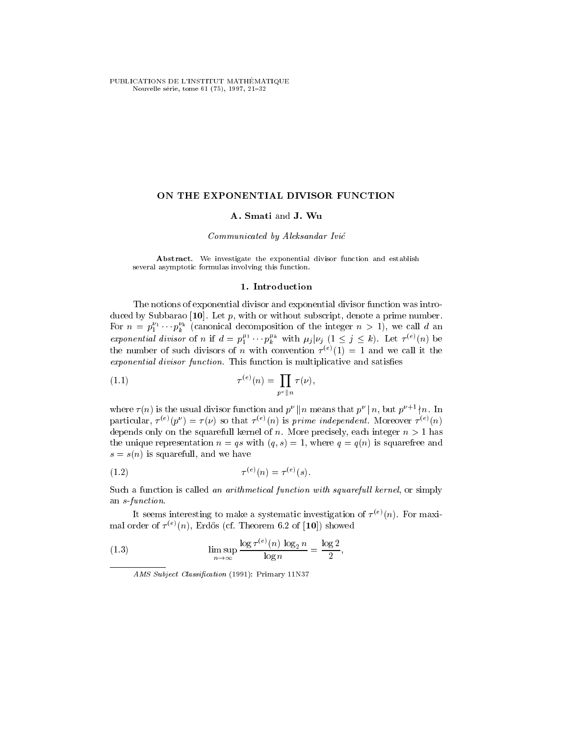PUBLICATIONS DE L'INSTITUT MATHÉMATIQUE Nouvelle série, tome 61 (75), 1997, 21-32

## ON THE EXPONENTIAL DIVISOR FUNCTION

# A. Smati and J. Wu

# Communicated by Aleksandar Ivic

Abstract. We investigate the exponential divisor function and establish several asymptotic formulas involving this function.

# 1. Introduction

The notions of exponential divisor and exponential divisor function was introduced by Subbarao [10]. Let  $p$ , with or without subscript, denote a prime number. For  $n = p_1^{\alpha_1} \cdots p_k^{\alpha_k}$  (canonical decomposition of the integer  $n > 1$ ), we call d an exponential divisor of n if  $d = p_1^{\mu_1} \cdots p_k^{\mu_k}$  with  $\mu_j | \nu_j \ (1 \leq j \leq k)$ . Let  $\tau^{(e)}(n)$  be the number of such divisors of n with convention  $\tau^{(+)}(1) = 1$  and we call it the exponential divisor function. This function is multiplicative and satisfies

(1.1) 
$$
\tau^{(e)}(n) = \prod_{p^{\nu} \| n} \tau(\nu),
$$

where  $\tau(n)$  is the usual divisor function and  $p^{\nu} || n$  means that  $p^{\nu} || n$ , but  $p^{\nu+1} \nmid n$ . In particular,  $\tau \to (\nu)$   $\tau \to \tau(\nu)$  so that  $\tau \to (\nu)$  is prime independent. Moreover  $\tau \to (\nu)$ depends only on the squarefull kernel of n. More precisely, each integer  $n > 1$  has the unique representation  $n = qs$  with  $(q, s) = 1$ , where  $q = q(n)$  is squarefree and  $s = s(n)$  is squarefull, and we have

(1.2) 
$$
\tau^{(e)}(n) = \tau^{(e)}(s).
$$

Such a function is called an arithmetical function with squarefull kernel, or simply an s-function.

It seems interesting to make a systematic investigation of  $\tau^{(n)}(n)$ . For maxi $max$  order of  $\tau^{(n)}(n)$ , Erdos (cf. Theorem 0.2 of  $|10|$ ) showed

(1.3) 
$$
\limsup_{n \to \infty} \frac{\log \tau^{(e)}(n) \log_2 n}{\log n} = \frac{\log 2}{2},
$$

AMS Subject Classification (1991): Primary 11N37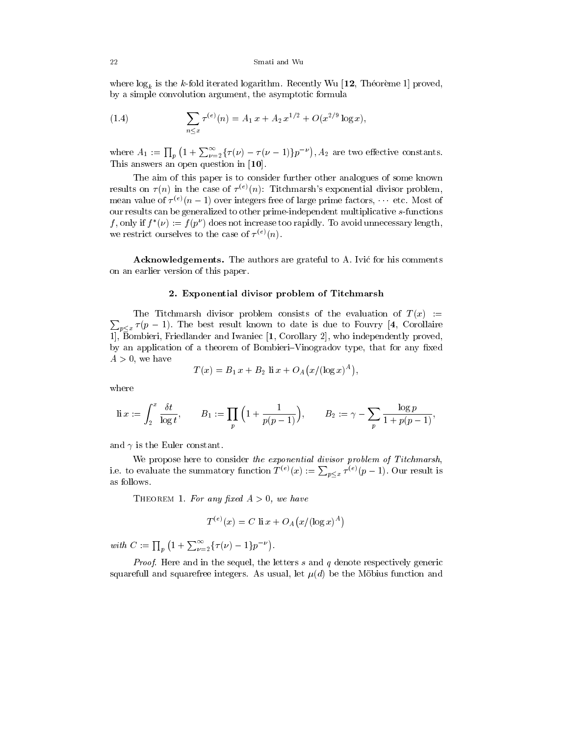where  $\log_k$  is the k-fold iterated logarithm. Recently Wu [12, Theorem 1] proved, by a simple convolution argument, the asymptotic formula

(1.4) 
$$
\sum_{n \le x} \tau^{(e)}(n) = A_1 x + A_2 x^{1/2} + O(x^{2/9} \log x),
$$

where  $A_1 := \prod_p (1 + \sum_{\nu=2}^{\infty} {\{\tau(\nu) - \tau(\nu-1)\}} p^{-\nu}), A_2$  are two effective constants. This answers an open question in [10].

The aim of this paper is to consider further other analogues of some known results on  $\tau(n)$  in the case of  $\tau^{(e)}(n)$ : Titchmarsh's exponential divisor problem, mean value of  $\tau_{\rm tot}/n-1$ ) over integers free of large prime factors, the etc. Most of our results can be generalized to other prime-independent multiplicative s-functions f, only if  $f^*(\nu) := f(p^{\nu})$  does not increase too rapidly. To avoid unnecessary length, we restrict ourselves to the case of  $\tau^{(n)}(n)$ .

Acknowledgements. The authors are grateful to A. Ivic for his comments on an earlier version of this paper.

#### 2. Exponential divisor problem of Titchmarsh

 $\sum_{p \leq x} \tau(p-1)$ . The best result known to date is due to Fouvry [4, Corollaire The Titchmarsh divisor problem consists of the evaluation of  $T(x):=$ 1], Bombieri, Friedlander and Iwaniec  $[1,$  Corollary 2], who independently proved, by an application of a theorem of Bombieri-Vinogradov type, that for any fixed  $A > 0$ , we have

$$
T(x) = B_1 x + B_2 \text{ li } x + O_A(x/(\log x)^A),
$$

where

$$
\text{li}\ x:=\int_2^x \frac{\delta t}{\log t},\qquad B_1:=\prod_p\Big(1+\frac{1}{p(p-1)}\Big),\qquad B_2:=\gamma-\sum_p\frac{\log p}{1+p(p-1)},
$$

and  $\gamma$  is the Euler constant.

We propose here to consider the exponential divisor problem of Titchmarsh, i.e. to evaluate the summatory function  $T^{(e)}(x) := \sum_{p \leq x} \tau^{(e)}(p-1)$ . Our result is as follows.

THEOREM 1. For any fixed  $A > 0$ , we have

$$
T^{(e)}(x) = C \operatorname{li} x + O_A(x/(\log x)^A)
$$

with  $C := \prod_{p} (1 + \sum_{\nu=2}^{\infty} {\{\tau(\nu) - 1\} p^{-\nu}})$ .

*Proof.* Here and in the sequel, the letters  $s$  and  $q$  denote respectively generic squarefull and squarefree integers. As usual, let  $\mu(d)$  be the Möbius function and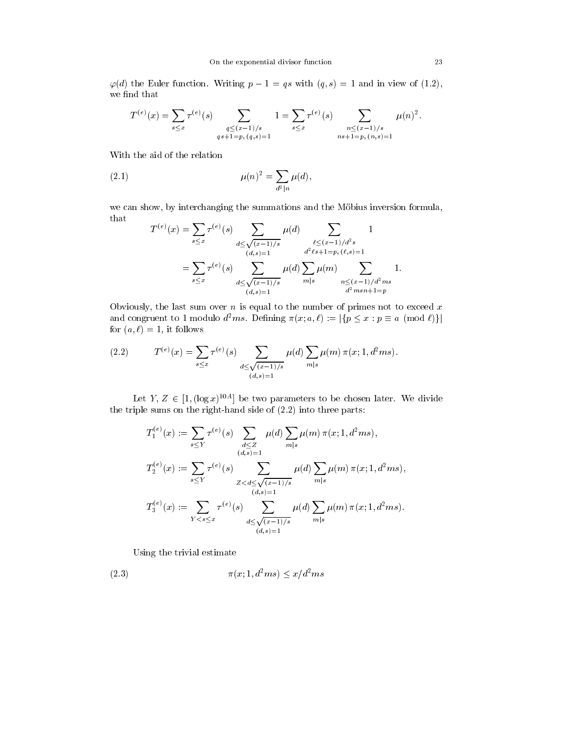$\varphi(d)$  the Euler function. Writing  $p - 1 = qs$  with  $(q, s) = 1$  and in view of (1.2), we find that

$$
T^{(e)}(x) = \sum_{s \le x} \tau^{(e)}(s) \sum_{\substack{q \le (x-1)/s \\ qs+1=p, (q,s)=1}} 1 = \sum_{s \le x} \tau^{(e)}(s) \sum_{\substack{n \le (x-1)/s \\ ns+1=p, (n,s)=1}} \mu(n)^2.
$$

With the aid of the relation

(2.1) 
$$
\mu(n)^2 = \sum_{d^2|n} \mu(d),
$$

we can show, by interchanging the summations and the Möbius inversion formula, that

$$
T^{(e)}(x) = \sum_{s \le x} \tau^{(e)}(s) \sum_{d \le \sqrt{(x-1)/s}} \mu(d) \sum_{\substack{\ell \le (x-1)/d^2s \ (\ell,s)=1}} 1
$$
  
= 
$$
\sum_{s \le x} \tau^{(e)}(s) \sum_{\substack{d \le \sqrt{(x-1)/s} \\ d \le \sqrt{(x-1)/s}}} \mu(d) \sum_{m|s} \mu(m) \sum_{\substack{n \le (x-1)/d^2ms \ (\ell,s)=1}} 1.
$$

Obviously, the last sum over  $n$  is equal to the number of primes not to exceed  $x$ and congruent to 1 modulo  $d^2ms$ . Defining  $\pi(x; a, \ell) := |\{p \leq x : p \equiv a \pmod{\ell}\}|$ for  $(a, \ell) = 1$ , it follows

(2.2) 
$$
T^{(e)}(x) = \sum_{s \le x} \tau^{(e)}(s) \sum_{\substack{d \le \sqrt{(x-1)/s} \\ (d,s)=1}} \mu(d) \sum_{m|s} \mu(m) \pi(x; 1, d^2ms).
$$

Let Y,  $Z \in [1, (\log x)^{10A}]$  be two parameters to be chosen later. We divide the triple sums on the right-hand side of (2.2) into three parts:

$$
T_1^{(e)}(x) := \sum_{s \le Y} \tau^{(e)}(s) \sum_{\substack{d \le Z \\ (d,s)=1}} \mu(d) \sum_{m|s} \mu(m) \pi(x; 1, d^2 ms),
$$
  

$$
T_2^{(e)}(x) := \sum_{s \le Y} \tau^{(e)}(s) \sum_{\substack{Z < d \le \sqrt{(x-1)/s} \\ (d,s)=1}} \mu(d) \sum_{m|s} \mu(m) \pi(x; 1, d^2 ms),
$$
  

$$
T_3^{(e)}(x) := \sum_{Y < s \le x} \tau^{(e)}(s) \sum_{\substack{d \le \sqrt{(x-1)/s} \\ (d,s)=1}} \mu(d) \sum_{m|s} \mu(m) \pi(x; 1, d^2 ms).
$$

Using the trivial estimate

$$
\pi(x; 1, d^2ms) \le x/d^2ms
$$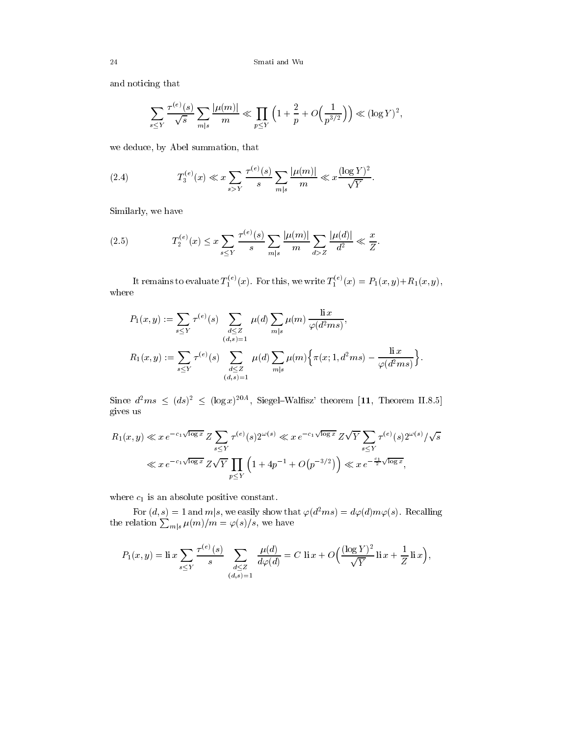and noticing that

$$
\sum_{s \le Y} \frac{\tau^{(e)}(s)}{\sqrt{s}} \sum_{m|s} \frac{|\mu(m)|}{m} \ll \prod_{p \le Y} \left(1 + \frac{2}{p} + O\left(\frac{1}{p^{3/2}}\right)\right) \ll (\log Y)^2,
$$

we deduce, by Abel summation, that

(2.4) 
$$
T_3^{(e)}(x) \ll x \sum_{s > Y} \frac{\tau^{(e)}(s)}{s} \sum_{m|s} \frac{|\mu(m)|}{m} \ll x \frac{(\log Y)^2}{\sqrt{Y}}.
$$

Similarly, we have

(2.5) 
$$
T_2^{(e)}(x) \le x \sum_{s \le Y} \frac{\tau^{(e)}(s)}{s} \sum_{m|s} \frac{|\mu(m)|}{m} \sum_{d>Z} \frac{|\mu(d)|}{d^2} \ll \frac{x}{Z}.
$$

It remains to evaluate  $T_1^{(z)}(x)$ . For this, we write  $T_1^{(z)}(x) = P_1(x, y) + R_1(x, y)$ , where

$$
P_1(x,y) := \sum_{s \le Y} \tau^{(e)}(s) \sum_{\substack{d \le Z \\ (d,s)=1}} \mu(d) \sum_{m|s} \mu(m) \frac{\operatorname{li} x}{\varphi(d^2 m s)},
$$
  

$$
R_1(x,y) := \sum_{s \le Y} \tau^{(e)}(s) \sum_{\substack{d \le Z \\ (d,s)=1}} \mu(d) \sum_{m|s} \mu(m) \left\{ \pi(x; 1, d^2 m s) - \frac{\operatorname{li} x}{\varphi(d^2 m s)} \right\}.
$$

Since  $d^2ms \leq (ds)^2 \leq (\log x)^{20A}$ , Siegel–Walfisz' theorem [11, Theorem II.8.5] gives us

$$
R_1(x, y) \ll x e^{-c_1 \sqrt{\log x}} Z \sum_{s \le Y} \tau^{(e)}(s) 2^{\omega(s)} \ll x e^{-c_1 \sqrt{\log x}} Z \sqrt{Y} \sum_{s \le Y} \tau^{(e)}(s) 2^{\omega(s)} / \sqrt{s}
$$
  

$$
\ll x e^{-c_1 \sqrt{\log x}} Z \sqrt{Y} \prod_{p \le Y} \left(1 + 4p^{-1} + O(p^{-3/2})\right) \ll x e^{-\frac{c_1}{2} \sqrt{\log x}},
$$

where  $c_1$  is an absolute positive constant.

For  $(d, s) = 1$  and  $m|s$ , we easily show that  $\varphi(d^2ms) = d\varphi(d)m\varphi(s)$ . Recalling the relation  $\sum_{m|s}\mu(m)/m=\varphi(s)/s,$  we have

$$
P_1(x,y) = \text{li } x \sum_{s \le Y} \frac{\tau^{(e)}(s)}{s} \sum_{\substack{d \le Z \\ (d,s)=1}} \frac{\mu(d)}{d\varphi(d)} = C \, \text{ li } x + O\left(\frac{(\log Y)^2}{\sqrt{Y}} \text{li } x + \frac{1}{Z} \text{li } x\right),
$$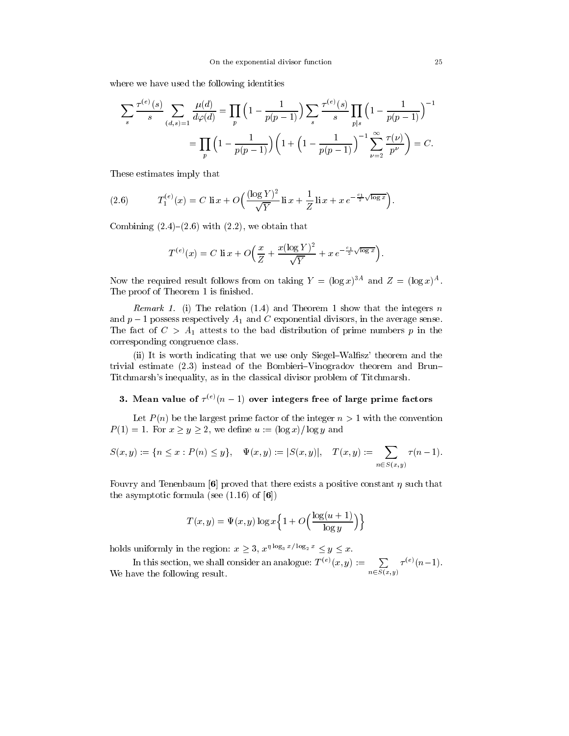where we have used the following identities

$$
\sum_{s} \frac{\tau^{(e)}(s)}{s} \sum_{(d,s)=1} \frac{\mu(d)}{d\varphi(d)} = \prod_{p} \left(1 - \frac{1}{p(p-1)}\right) \sum_{s} \frac{\tau^{(e)}(s)}{s} \prod_{p|s} \left(1 - \frac{1}{p(p-1)}\right)^{-1}
$$

$$
= \prod_{p} \left(1 - \frac{1}{p(p-1)}\right) \left(1 + \left(1 - \frac{1}{p(p-1)}\right)^{-1} \sum_{p=2}^{\infty} \frac{\tau(p)}{p^p}\right) = C.
$$

These estimates imply that

(2.6) 
$$
T_1^{(e)}(x) = C \operatorname{li} x + O\left(\frac{(\log Y)^2}{\sqrt{Y}} \operatorname{li} x + \frac{1}{Z} \operatorname{li} x + xe^{-\frac{c_1}{2}\sqrt{\log x}}\right).
$$

Combining  $(2.4)$ – $(2.6)$  with  $(2.2)$ , we obtain that

$$
T^{(e)}(x) = C \operatorname{li} x + O\left(\frac{x}{Z} + \frac{x(\log Y)^2}{\sqrt{Y}} + x e^{-\frac{c_1}{2}\sqrt{\log x}}\right).
$$

Now the required result follows from on taking  $Y = (\log x)^{3}$  and  $Z = (\log x)^{3}$ . The proof of Theorem 1 is finished.

*Remark 1.* (i) The relation (1.4) and Theorem 1 show that the integers n and  $p-1$  possess respectively  $A_1$  and C exponential divisors, in the average sense. The fact of  $C > A_1$  attests to the bad distribution of prime numbers p in the corresponding congruence class.

(ii) It is worth indicating that we use only Siegel–Walfisz' theorem and the trivial estimate  $(2.3)$  instead of the Bombieri–Vinogradov theorem and Brun– Titchmarsh's inequality, as in the classical divisor problem of Titchmarsh.

### $\mathbf{a}.$  Mean value of  $\tau \setminus (n-1)$  over integers free of large prime factors

Let  $P(n)$  be the largest prime factor of the integer  $n > 1$  with the convention  $P(1) = 1$ . For  $x \ge y \ge 2$ , we define  $u := (\log x)/\log y$  and

$$
S(x,y) := \{ n \le x : P(n) \le y \}, \quad \Psi(x,y) := |S(x,y)|, \quad T(x,y) := \sum_{n \in S(x,y)} \tau(n-1).
$$

Fouvry and Tenenbaum [6] proved that there exists a positive constant  $\eta$  such that the asymptotic formula (see  $(1.16)$  of  $[6]$ )

$$
T(x, y) = \Psi(x, y) \log x \left\{ 1 + O\left(\frac{\log(u+1)}{\log y}\right) \right\}
$$

holds uniformly in the region:  $x \geq 3$ ,  $x^{\eta \log_3 x/\log_2 x} \leq y \leq x$ .

In this section, we shall consider an analogue:  $T^{(e)}(x,y) := \sum_{n \in S(x,y)} \tau^{(e)}(n-1)$ . We have the following result.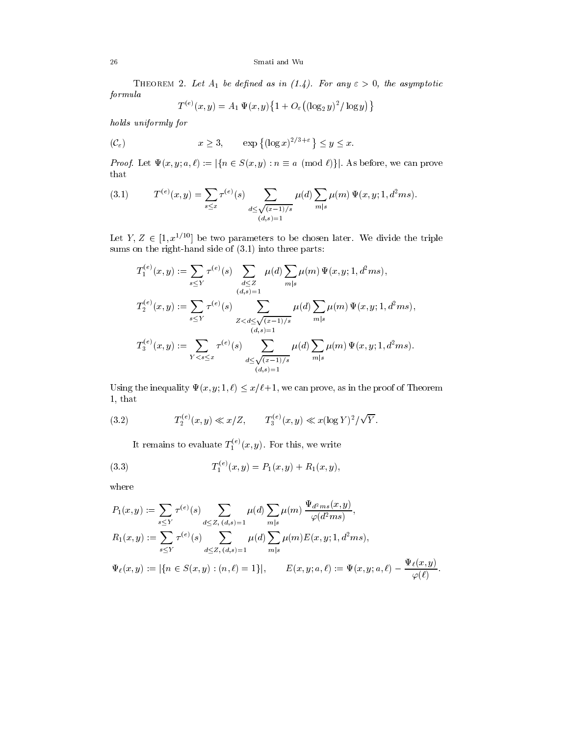THEOREM 2. Let  $A_1$  be defined as in (1.4). For any  $\varepsilon > 0$ , the asymptotic formula

$$
T^{(e)}(x,y) = A_1 \Psi(x,y) \{ 1 + O_{\varepsilon}((\log_2 y)^2 / \log y) \}
$$

holds uniformly for

$$
x \ge 3, \qquad \exp\left\{(\log x)^{2/3+\varepsilon}\right\} \le y \le x.
$$

*Proof.* Let  $\Psi(x, y; a, \ell) := |\{n \in S(x, y) : n \equiv a \pmod{\ell}\}|$ . As before, we can prove that

(3.1) 
$$
T^{(e)}(x,y) = \sum_{s \le x} \tau^{(e)}(s) \sum_{\substack{d \le \sqrt{(x-1)/s} \\ (d,s)=1}} \mu(d) \sum_{m|s} \mu(m) \Psi(x,y;1,d^2ms).
$$

Let  $Y, Z \in [1, x^{1/10}]$  be two parameters to be chosen later. We divide the triple sums on the right-hand side of (3.1) into three parts:

$$
T_1^{(e)}(x,y) := \sum_{s \le Y} \tau^{(e)}(s) \sum_{\substack{d \le Z \\ (d,s)=1}} \mu(d) \sum_{m|s} \mu(m) \Psi(x,y;1,d^2ms),
$$
  

$$
T_2^{(e)}(x,y) := \sum_{s \le Y} \tau^{(e)}(s) \sum_{\substack{Z < d \le \sqrt{(x-1)/s} \\ (d,s)=1}} \mu(d) \sum_{m|s} \mu(m) \Psi(x,y;1,d^2ms),
$$
  

$$
T_3^{(e)}(x,y) := \sum_{Y < s \le x} \tau^{(e)}(s) \sum_{\substack{d \le \sqrt{(x-1)/s} \\ (d,s)=1}} \mu(d) \sum_{m|s} \mu(m) \Psi(x,y;1,d^2ms).
$$

Using the inequality  $\Psi(x, y; 1, \ell) \leq x/\ell+1$ , we can prove, as in the proof of Theorem 1, that

(3.2) 
$$
T_2^{(e)}(x,y) \ll x/Z, \qquad T_3^{(e)}(x,y) \ll x(\log Y)^2/\sqrt{Y}.
$$

It remains to evaluate  $T_1^{(1)}(x,y)$ . For this, we write

(3.3) 
$$
T_1^{(e)}(x,y) = P_1(x,y) + R_1(x,y),
$$

where

$$
P_1(x, y) := \sum_{s \le Y} \tau^{(e)}(s) \sum_{d \le Z, (d, s) = 1} \mu(d) \sum_{m|s} \mu(m) \frac{\Psi_{d^2ms}(x, y)}{\varphi(d^2ms)},
$$
  
\n
$$
R_1(x, y) := \sum_{s \le Y} \tau^{(e)}(s) \sum_{d \le Z, (d, s) = 1} \mu(d) \sum_{m|s} \mu(m) E(x, y; 1, d^2ms),
$$
  
\n
$$
\Psi_{\ell}(x, y) := |\{n \in S(x, y) : (n, \ell) = 1\}|, \qquad E(x, y; a, \ell) := \Psi(x, y; a, \ell) - \frac{\Psi_{\ell}(x, y)}{\varphi(\ell)}.
$$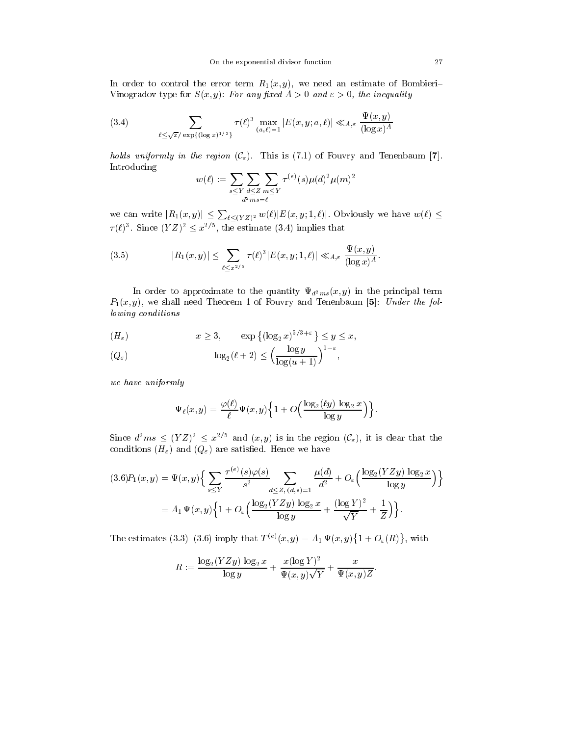In order to control the error term  $R_1(x, y)$ , we need an estimate of Bombieri-Vinogradov type for  $S(x, y)$ : For any fixed  $A > 0$  and  $\varepsilon > 0$ , the inequality

(3.4) 
$$
\sum_{\ell \leq \sqrt{x}/\exp\{(\log x)^{1/3}\}} \tau(\ell)^3 \max_{(a,\ell)=1} |E(x,y;a,\ell)| \ll_{A,\varepsilon} \frac{\Psi(x,y)}{(\log x)^A}
$$

holds uniformly in the region  $(C_{\varepsilon})$ . This is (7.1) of Fouvry and Tenenbaum [7]. Introducing

$$
w(\ell):=\sum_{s\leq Y}\sum_{\substack{d\leq Z\\d^2m s=\ell}}\sum_{m\leq Y}\tau^{(e)}(s)\mu(d)^2\mu(m)^2
$$

we can write  $|R_1(x,y)| \leq \sum_{\ell \leq (YZ)^2} w(\ell) |E(x,y; 1,\ell)|$ . Obviously we have  $w(\ell) \leq$  $\tau(\ell)$ <sup>3</sup>. Since  $(YZ)^2 \leq x^{2/5}$ , the estimate (3.4) implies that

(3.5) 
$$
|R_1(x,y)| \leq \sum_{\ell \leq x^{2/5}} \tau(\ell)^3 |E(x,y;1,\ell)| \ll_{A,\varepsilon} \frac{\Psi(x,y)}{(\log x)^A}.
$$

In order to approximate to the quantity  $\Psi_{d^2ms}(x, y)$  in the principal term  $P_1(x, y)$ , we shall need Theorem 1 of Fouvry and Tenenbaum [5]: Under the following conditions

$$
(H_{\varepsilon}) \qquad x \ge 3, \qquad \exp\left\{(\log_2 x)^{5/3+\varepsilon}\right\} \le y \le x,
$$

$$
(Q_{\varepsilon}) \qquad \log_2(\ell+2) \le \left(\frac{\log y}{\log(u+1)}\right)^{1-\varepsilon},
$$

we have uniformly

$$
\Psi_{\ell}(x,y) = \frac{\varphi(\ell)}{\ell} \Psi(x,y) \left\{ 1 + O\left(\frac{\log_2(\ell y) \log_2 x}{\log y}\right) \right\}.
$$

Since  $d^2ms \leq (YZ)^2 \leq x^{2/5}$  and  $(x, y)$  is in the region  $(\mathcal{C}_{\varepsilon})$ , it is clear that the conditions  $(H_{\varepsilon})$  and  $(Q_{\varepsilon})$  are satisfied. Hence we have

$$
(3.6)P_1(x,y) = \Psi(x,y)\Big\{\sum_{s\leq Y} \frac{\tau^{(e)}(s)\varphi(s)}{s^2} \sum_{d\leq Z, (d,s)=1} \frac{\mu(d)}{d^2} + O_{\varepsilon}\Big(\frac{\log_2(YZy)\log_2 x}{\log y}\Big)\Big\}
$$
  
=  $A_1 \Psi(x,y)\Big\{1 + O_{\varepsilon}\Big(\frac{\log_2(YZy)\log_2 x}{\log y} + \frac{(\log Y)^2}{\sqrt{Y}} + \frac{1}{Z}\Big)\Big\}.$ 

The estimates  $(3.3)-(3.6)$  imply that  $T^{(e)}(x,y) = A_1 \Psi(x,y) \{1+O_{\varepsilon}(R)\}\,$ , with

$$
R := \frac{\log_2(YZy) \log_2 x}{\log y} + \frac{x(\log Y)^2}{\Psi(x,y)\sqrt{Y}} + \frac{x}{\Psi(x,y)Z}.
$$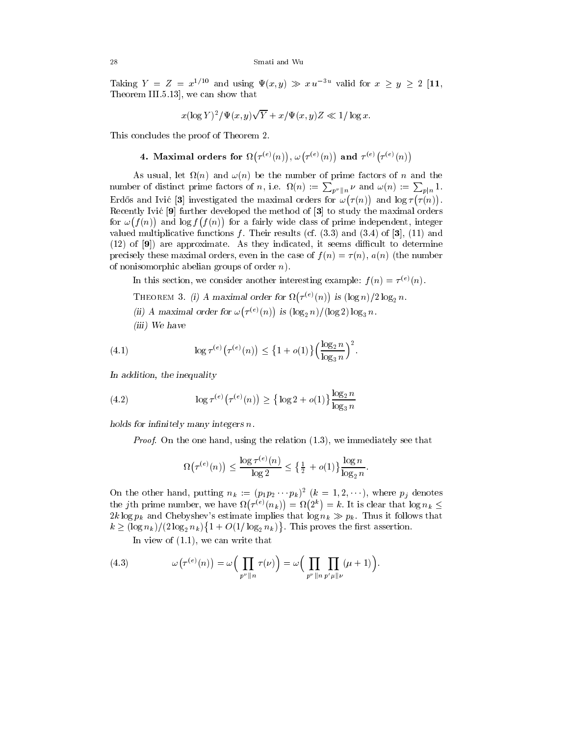Taking  $Y = Z = x^{1/10}$  and using  $\Psi(x, y) \gg x u^{-3u}$  valid for  $x \ge y \ge 2$  [11, Theorem III.5.13], we can show that

$$
x(\log Y)^2/\Psi(x,y)\sqrt{Y} + x/\Psi(x,y)Z \ll 1/\log x.
$$

This concludes the proof of Theorem 2.

4. Maximal orders for 
$$
\Omega\big(\tau^{(e)}(n)\big),\, \omega\big(\tau^{(e)}(n)\big)
$$
 and  $\tau^{(e)}\big(\tau^{(e)}(n)\big)$ 

 $\mathcal{N}$  and  $\mathcal{N}$  and  $\mathcal{N}$  and the number of number of number of number of number of number of number of number of number of number of number of number of number of number of number of number of number of number o number of distinct prime factors of n, i.e.  $\Omega(n) := \sum_{p^{\nu} \parallel n} \nu$  and  $\omega(n) := \sum_{p \mid n} 1$ .  $\mathcal{L}$  investigated the maximal orders for  $\mathcal{L}$  investigated the maximal order for  $\mathcal{L}$  investigated the maximal order for  $\mathcal{L}$  $(\tau(n))$  and  $\log \tau(\tau(n))$ . Recently Ivic [9] further developed the method of [3] to study the maximal orders for  $\omega(f(n))$  and  $\log f(f(n))$  for a fairly wide class of prime independent, integer valued multiplicative functions f. Their results (cf.  $(3.3)$  and  $(3.4)$  of [3],  $(11)$  and  $(12)$  of  $[9]$ ) are approximate. As they indicated, it seems difficult to determine precisely these maximal orders, even in the case of  $f(n) = \tau(n)$ ,  $a(n)$  (the number of nonisomorphic abelian groups of order  $n$ ).

In this section, we consider another interesting example:  $f(n) = \tau^{\vee} \wedge (n)$ .

 $\mathbf{I}$  and order  $\mathbf{I}$  is a maximum order for  $\mathbf{I}$  (if  $\mathbf{I}$  is a . . . . . .  $\tau^{(e)}(n)$  is  $(\log n)/2 \log_2 n$ .

 $\{1,2,3,4,5\}$  and the contract for the form  $\{1,3,4,7,8\}$  . The contract of  $\{1,3,4,7,8\}$ . . . . . .  $\tau^{(e)}(n)$  is  $(\log_2 n)/(\log 2) \log_3 n$ .

(iii) We have

(4.1) 
$$
\log \tau^{(e)}(\tau^{(e)}(n)) \leq \{1 + o(1)\} \left(\frac{\log_2 n}{\log_3 n}\right)^2.
$$

In addition, the inequality

(4.2) 
$$
\log \tau^{(e)}(\tau^{(e)}(n)) \geq {\log 2 + o(1)} \frac{\log_2 n}{\log_3 n}
$$

holds for infinitely many integers  $n$ .

Proof. On the one hand, using the relation  $(1.3)$ , we immediately see that

$$
\Omega(\tau^{(e)}(n)) \le \frac{\log \tau^{(e)}(n)}{\log 2} \le \left\{\frac{1}{2} + o(1)\right\} \frac{\log n}{\log_2 n}.
$$

On the other hand, putting  $n_k := (p_1 p_2 \cdots p_k)$   $(k = 1, 2, \cdots)$ , where  $p_j$  denotes the jth prime number, we have  $(\tau^{(e)}(n_k)) = \Omega(2^k) = k.$  It is clear that  $\log n_k \leq$  $2k \log p_k$  and Chebyshev's estimate implies that  $\log n_k \gg p_k$ . Thus it follows that  $k \geq (\log n_k)/(2 \log_2 n_k) \{1+O(1/\log_2 n_k)\}\.$  This proves the first assertion.

In view of  $(1.1)$ , we can write that

(4.3) 
$$
\omega(\tau^{(e)}(n)) = \omega\Big(\prod_{p^{\nu} \parallel n} \tau(\nu)\Big) = \omega\Big(\prod_{p^{\nu} \parallel n} \prod_{p^{\prime} \mu \parallel \nu} (\mu + 1)\Big).
$$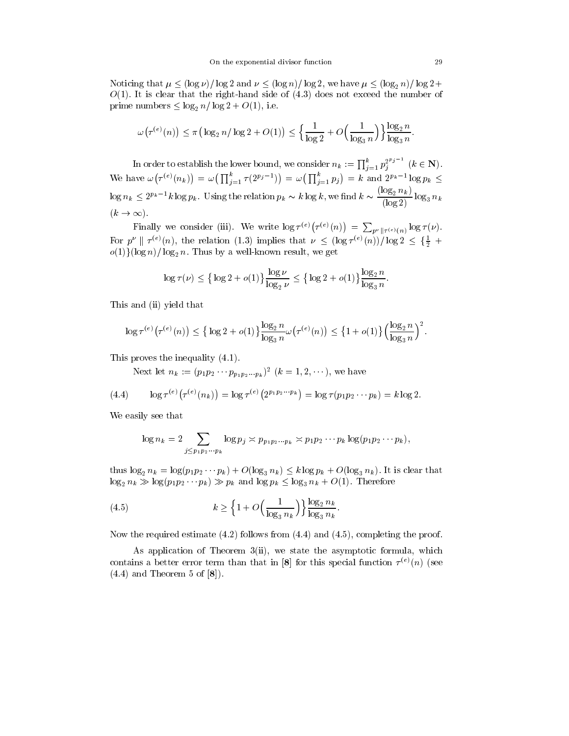Noticing that  $\mu \leq (\log \nu)/\log 2$  and  $\nu \leq (\log n)/\log 2$ , we have  $\mu \leq (\log_2 n)/\log 2+$  $O(1)$ . It is clear that the right-hand side of  $(4.3)$  does not exceed the number of prime numbers  $\leq \log_2 n / \log 2 + O(1)$ , i.e.

$$
\omega(\tau^{(e)}(n)) \le \pi \big( \log_2 n / \log 2 + O(1) \big) \le \Big\{ \frac{1}{\log 2} + O\Big(\frac{1}{\log_3 n}\Big) \Big\} \frac{\log_2 n}{\log_3 n}.
$$

In order to establish the lower bound, we consider  $n_k := \prod_{i=1}^k p_i^{2^{k_i}} \quad (k \in \mathbb{N})$ .  $\mathbf{w}$  . The set of  $\mathbf{w}$   $\tau^{(e)}(n_k)$  =  $\omega(\prod_{i=1}^k \tau(2^{p_i-1})) = \omega(\prod_{i=1}^k p_i) = k$  and  $2^{p_k-1} \log p_k \le$  $\log n_k \leq 2^{p_k-1}k\log p_k$ . Using the relation  $p_k \thicksim k\log k$ , we find  $k \thicksim \frac{\log 2^{-k}}{(\log 2)}\log_3 n_k$  $(k \to \infty).$ 

Finally we consider (iii). We write  $\log \tau^{(e)}(\tau^{(e)}(n)) = \sum_{p^{\nu} \| \tau^{(e)}(n)} \log \tau(\nu)$ . For  $p^{\nu} \parallel \tau^{(e)}(n)$ , the relation (1.3) implies that  $\nu \leq (\log \tau^{(e)}(n))/\log 2 \leq {\frac{1}{2} + \frac{1}{2}}$  $o(1)$ (log n)/log<sub>2</sub> n. Thus by a well-known result, we get

$$
\log \tau(\nu) \le \left\{ \log 2 + o(1) \right\} \frac{\log \nu}{\log_2 \nu} \le \left\{ \log 2 + o(1) \right\} \frac{\log_2 n}{\log_3 n}.
$$

This and (ii) yield that

$$
\log \tau^{(e)}(\tau^{(e)}(n)) \leq {\log 2 + o(1)} \frac{\log_2 n}{\log_3 n} \omega(\tau^{(e)}(n)) \leq {\left\{1 + o(1)\right\}} \left(\frac{\log_2 n}{\log_3 n}\right)^2.
$$

This proves the inequality (4.1).

Next let  $n_k := (p_1 p_2 \cdots p_{p_1 p_2 \cdots p_k})$   $(k = 1, 2, \cdots)$ , we have

(4.4) 
$$
\log \tau^{(e)}(\tau^{(e)}(n_k)) = \log \tau^{(e)}(2^{p_1 p_2 \cdots p_k}) = \log \tau(p_1 p_2 \cdots p_k) = k \log 2.
$$

We easily see that

$$
\log n_k = 2 \sum_{j \leq p_1 p_2 \cdots p_k} \log p_j \asymp p_{p_1 p_2 \cdots p_k} \asymp p_1 p_2 \cdots p_k \log (p_1 p_2 \cdots p_k),
$$

thus  $\log_2 n_k = \log(p_1 p_2 \cdots p_k) + O(\log_3 n_k) \le k \log p_k + O(\log_3 n_k)$ . It is clear that  $\log_2 n_k \gg \log(p_1 p_2 \cdots p_k) \gg p_k$  and  $\log p_k \leq \log_3 n_k + O(1)$ . Therefore

(4.5) 
$$
k \ge \left\{ 1 + O\left(\frac{1}{\log_3 n_k}\right) \right\} \frac{\log_2 n_k}{\log_3 n_k}.
$$

Now the required estimate (4.2) follows from (4.4) and (4.5), completing the proof.

As application of Theorem 3(ii), we state the asymptotic formula, which contains a better error term than that in  $|\mathbf{\delta}|$  for this special function  $\tau^{(+)}(n)$  (see  $(4.4)$  and Theorem 5 of  $[8]$ .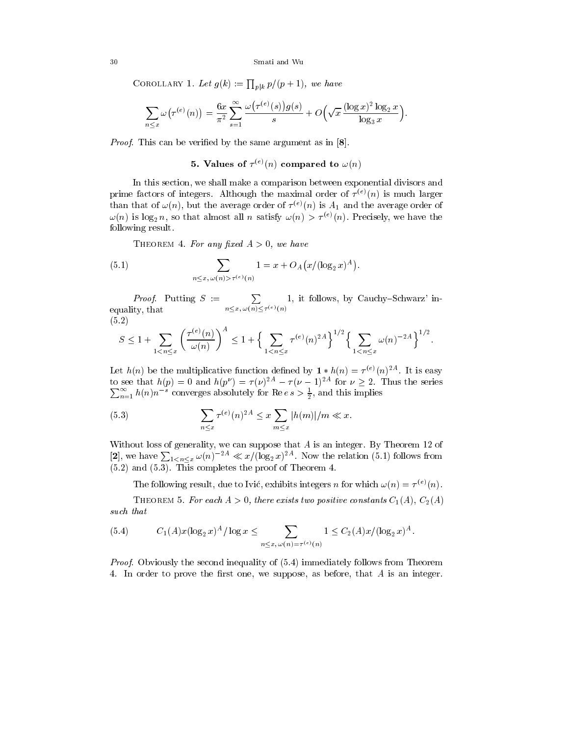## 30 Smati and Wu

COROLLARY 1. Let  $g(k) := \prod_{p|k} p/(p+1)$ , we have

$$
\sum_{n\leq x}\omega(\tau^{(e)}(n))=\frac{6x}{\pi^2}\sum_{s=1}^{\infty}\frac{\omega(\tau^{(e)}(s))g(s)}{s}+O\Big(\sqrt{x}\,\frac{(\log x)^2\log_2 x}{\log_3 x}\Big).
$$

Proof. This can be verified by the same argument as in [8].

## 5. values of  $\tau \sim (n)$  compared to  $\omega(n)$

In this section, we shall make a comparison between exponential divisors and prime factors of integers. Although the maximal order of  $\tau \vee \nu$  is much larger than that of  $\omega(n)$ , but the average order of  $\tau^{(n)}(n)$  is  $A_1$  and the average order of  $\omega(n)$  is log<sub>2</sub> n, so that almost all n satisfy  $\omega(n) > \tau^{(e)}(n)$ . Precisely, we have the following result.

THEOREM 4. For any fixed  $A > 0$ , we have

(5.1) 
$$
\sum_{n \le x, \, \omega(n) > \tau^{(e)}(n)} 1 = x + O_A(x/(\log_2 x)^A).
$$

*Proof.* Putting  $S := \sum_{n=1}^{\infty} 1$ , it follow  $n \leq x, \omega(n) \leq \tau^{(e)}(n)$ 1, it follows, by Cauchy–Schwarz' inequality, the contract of the contract of the contract of the contract of the contract of the contract of the contract of the contract of the contract of the contract of the contract of the contract of the contract of the  $(5.2)$ 

$$
S \le 1 + \sum_{1 < n \le x} \left( \frac{\tau^{(e)}(n)}{\omega(n)} \right)^A \le 1 + \left\{ \sum_{1 < n \le x} \tau^{(e)}(n)^{2A} \right\}^{1/2} \left\{ \sum_{1 < n \le x} \omega(n)^{-2A} \right\}^{1/2}.
$$

Let  $h(n)$  be the multiplicative function defined by  $1 * h(n) = \tau^{(e)}(n)^{24}$ . It is easy to see that  $h(p) = 0$  and  $h(p^{\nu}) = \tau(\nu)^{2A} - \tau(\nu - 1)^{2A}$  for  $\nu \geq 2$ . Thus the series  $\sum_{n=1}^{\infty} h(n)n^{-s}$  converges absolutely for Ree  $s > \frac{1}{2}$ , and this implies

(5.3) 
$$
\sum_{n \le x} \tau^{(e)}(n)^{2A} \le x \sum_{m \le x} |h(m)|/m \ll x.
$$

Without loss of generality, we can suppose that  $A$  is an integer. By Theorem 12 of [2], we have  $\sum_{1 \leq n \leq x} \omega(n)^{-2A} \ll x/(\log_2 x)^{2A}$ . Now the relation (5.1) follows from  $(5.2)$  and  $(5.3)$ . This completes the proof of Theorem 4.

The following result, due to IVIC, exhibits integers n for which  $\omega(n) = \tau \vee (n)$ .

THEOREM 5. For each  $A > 0$ , there exists two positive constants  $C_1(A)$ ,  $C_2(A)$ such that

(5.4) 
$$
C_1(A)x(\log_2 x)^A/\log x \leq \sum_{n \leq x, \, \omega(n) = \tau^{(e)}(n)} 1 \leq C_2(A)x/(\log_2 x)^A.
$$

*Proof.* Obviously the second inequality of  $(5.4)$  immediately follows from Theorem 4. In order to prove the first one, we suppose, as before, that  $A$  is an integer.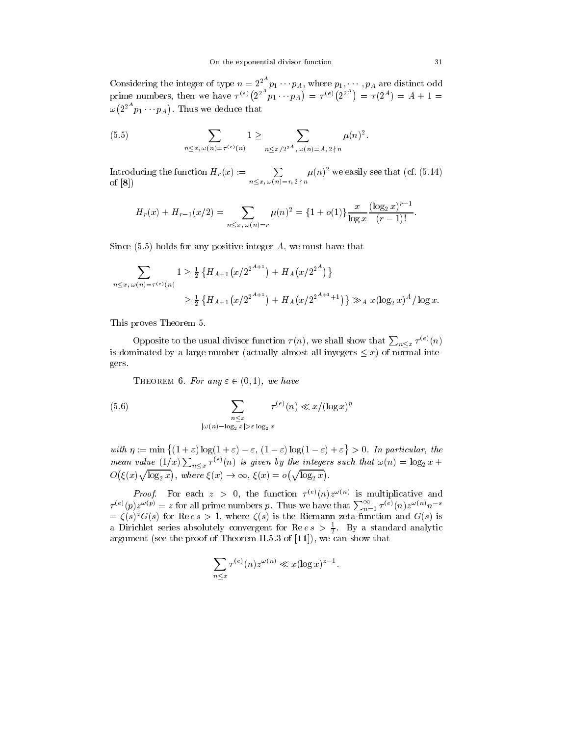Considering the integer of type  $n = 2^{2^m} p_1 \cdots p_A$ , where  $p_1, \cdots, p_A$  are distinct odd prime numbers, then we have  $\tau^{(e)}(2^{2^n}p_1 \cdots p_A) = \tau^{(e)}(2^n)$  $=\tau^{(e)}(2^{2^{n}}) = \tau(2^{A}) = A + 1 =$  $\omega(2^{2^{n}} p_1 \cdots p_A)$ . Thus w

(5.5) 
$$
\sum_{n \le x, \, \omega(n) = \tau^{(e)}(n)} 1 \ge \sum_{n \le x/2^{2^A}, \, \omega(n) = A, \, 2 \nmid n} \mu(n)^2.
$$

Introducing the function  $H_r(x) := \sum_{n \le x, \omega(n)=r, 2 \nmid n} \mu(n)^2$  we easily see that (cf. (5.14)<br>of [8]) of [8])

$$
H_r(x) + H_{r-1}(x/2) = \sum_{n \le x, \, \omega(n)=r} \mu(n)^2 = \{1 + o(1)\} \frac{x}{\log x} \frac{(\log_2 x)^{r-1}}{(r-1)!}.
$$

Since  $(5.5)$  holds for any positive integer A, we must have that

$$
\sum_{n \le x, \, \omega(n) = \tau^{(e)}(n)} 1 \ge \frac{1}{2} \left\{ H_{A+1}(x/2^{2^{A+1}}) + H_A(x/2^{2^A}) \right\}
$$
  
 
$$
\ge \frac{1}{2} \left\{ H_{A+1}(x/2^{2^{A+1}}) + H_A(x/2^{2^{A+1}+1}) \right\} \gg_A x(\log_2 x)^A / \log x.
$$

This proves Theorem 5.

Opposite to the usual divisor function  $\tau(n)$ , we shall show that  $\sum_{n \leq x} \tau^{(e)}(n)$ is dominated by a large number (actually almost all inyegers  $\leq x$ ) of normal integers.

THEOREM 6. For any  $\varepsilon \in (0,1)$ , we have

(5.6) 
$$
\sum_{n \le x} \tau^{(e)}(n) \ll x/(\log x)^n
$$

$$
|\omega(n) - \log_2 x| > \varepsilon \log_2 x
$$

with  $\eta := \min \{(1 + \varepsilon) \log(1 + \varepsilon) - \varepsilon, (1 - \varepsilon) \log(1 - \varepsilon) + \varepsilon\} > 0$ . In particular, the mean value  $(1/x)\sum_{n\leq x}\tau^{(e)}(n)$  is given by the integers such that  $\omega(n)=\log_2 x +$ O  $(\xi(x)\sqrt{\log_2 x})$ , where  $\xi(x)$ ), where  $\xi(x) \to \infty$ ,  $\xi(x) = o(\sqrt{\log_2 x})$ .  $\cup$   $\angle$  x  $\angle$  x  $\angle$  x  $\angle$  x  $\angle$  x  $\angle$  x  $\angle$  x  $\angle$  x  $\angle$  x  $\angle$  x  $\angle$  x  $\angle$  x  $\angle$  x  $\angle$  x  $\angle$  x  $\angle$  x  $\angle$  x  $\angle$  x  $\angle$  x  $\angle$  x  $\angle$  x  $\angle$  x  $\angle$  x  $\angle$  x  $\angle$  x  $\angle$  x  $\angle$  x  $\angle$  x  $\angle$  x  $\angle$  x  $\angle$  x  $\mathbf{v}$  and  $\mathbf{v}$  are all  $\mathbf{v}$  and  $\mathbf{v}$  are all  $\mathbf{v}$  and  $\mathbf{v}$ 

*Proof.* For each  $z > 0$ , the function  $\tau \vee (n)z \vee z$  is multiplicative and  $\tau^{(e)}(p)z^{\omega(p)}=z$  for all prime numbers p. Thus we have that  $\sum_{n=1}^{\infty} \tau^{(e)}(n)z^{\omega(n)}n^{-s}$  $z = \zeta(s)$  (c) s for Rees  $z_1$ , where  $\zeta(s)$  is the Riemann zeta-function and  $\zeta(s)$  is a Dirichlet series absolutely convergent for  $\mathrm{Re} \, \epsilon \, s \, > \, \frac{1}{2}$ . By a standard analytic argument (see the proof of  $\mathbb{I}$ ), we can show that  $\mathbb{I}$  is  $\mathbb{I}$ 

$$
\sum_{n\leq x}\tau^{(e)}(n)z^{\omega(n)}\ll x(\log x)^{z-1}.
$$